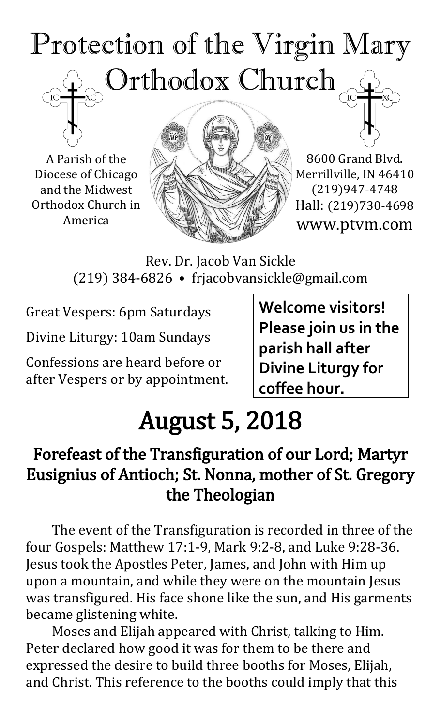# Protection of the Virgin Mary Orthodox Church



A Parish of the Diocese of Chicago and the Midwest Orthodox Church in America



8600 Grand Blvd. Merrillville, IN 46410 (219)947-4748 Hall: (219)730-4698 www.ptvm.com

Rev. Dr. Jacob Van Sickle (219) 384-6826 • frjacobvansickle@gmail.com

Great Vespers: 6pm Saturdays

Divine Liturgy: 10am Sundays

Confessions are heard before or after Vespers or by appointment. **Welcome visitors! Please join us in the parish hall after Divine Liturgy for coffee hour.**

## August 5, 2018

## Forefeast of the Transfiguration of our Lord; Martyr Eusignius of Antioch; St. Nonna, mother of St. Gregory the Theologian

The event of the Transfiguration is recorded in three of the four Gospels: Matthew 17:1-9, Mark 9:2-8, and Luke 9:28-36. Jesus took the Apostles Peter, James, and John with Him up upon a mountain, and while they were on the mountain Jesus was transfigured. His face shone like the sun, and His garments became glistening white.

Moses and Elijah appeared with Christ, talking to Him. Peter declared how good it was for them to be there and expressed the desire to build three booths for Moses, Elijah, and Christ. This reference to the booths could imply that this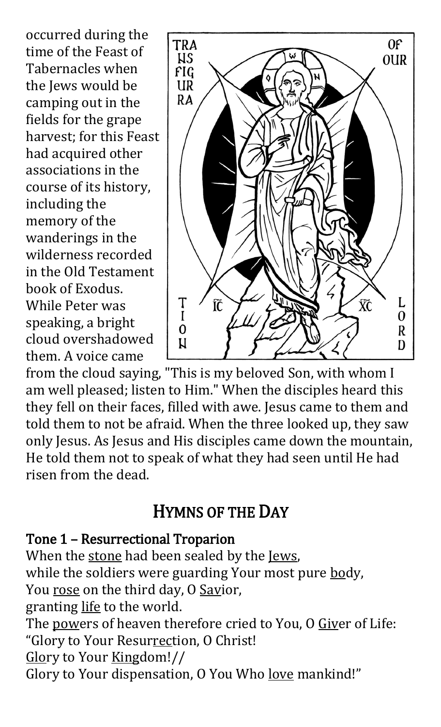occurred during the time of the Feast of Tabernacles when the Jews would be camping out in the fields for the grape harvest; for this Feast had acquired other associations in the course of its history, including the memory of the wanderings in the wilderness recorded in the Old Testament book of Exodus. While Peter was speaking, a bright cloud overshadowed them. A voice came



from the cloud saying, "This is my beloved Son, with whom I am well pleased; listen to Him." When the disciples heard this they fell on their faces, filled with awe. Jesus came to them and told them to not be afraid. When the three looked up, they saw only Jesus. As Jesus and His disciples came down the mountain, He told them not to speak of what they had seen until He had risen from the dead.

## HYMNS OF THE DAY

#### Tone 1 – Resurrectional Troparion

When the stone had been sealed by the Jews, while the soldiers were guarding Your most pure body, You rose on the third day, O Savior, granting life to the world. The powers of heaven therefore cried to You, O Giver of Life: "Glory to Your Resurrection, O Christ! Glory to Your Kingdom!// Glory to Your dispensation, O You Who love mankind!"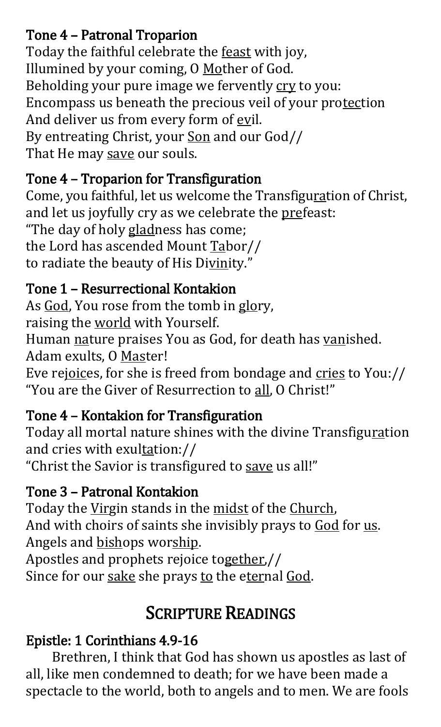### Tone 4 – Patronal Troparion

Today the faithful celebrate the feast with joy, Illumined by your coming, O Mother of God. Beholding your pure image we fervently cry to you: Encompass us beneath the precious veil of your protection And deliver us from every form of evil. By entreating Christ, your Son and our God// That He may save our souls.

### Tone 4 – Troparion for Transfiguration

Come, you faithful, let us welcome the Transfiguration of Christ, and let us joyfully cry as we celebrate the prefeast:

"The day of holy gladness has come; the Lord has ascended Mount Tabor// to radiate the beauty of His Divinity."

### Tone 1 – Resurrectional Kontakion

As God, You rose from the tomb in glory, raising the world with Yourself. Human nature praises You as God, for death has vanished. Adam exults, O Master! Eve rejoices, for she is freed from bondage and cries to You:// "You are the Giver of Resurrection to all, O Christ!"

## Tone 4 – Kontakion for Transfiguration

Today all mortal nature shines with the divine Transfiguration and cries with exultation:// "Christ the Savior is transfigured to save us all!"

## Tone 3 – Patronal Kontakion

Today the Virgin stands in the midst of the Church, And with choirs of saints she invisibly prays to God for us. Angels and bishops worship. Apostles and prophets rejoice together,// Since for our sake she prays to the eternal God.

## SCRIPTURE READINGS

## Epistle: 1 Corinthians 4.9-16

Brethren, I think that God has shown us apostles as last of all, like men condemned to death; for we have been made a spectacle to the world, both to angels and to men. We are fools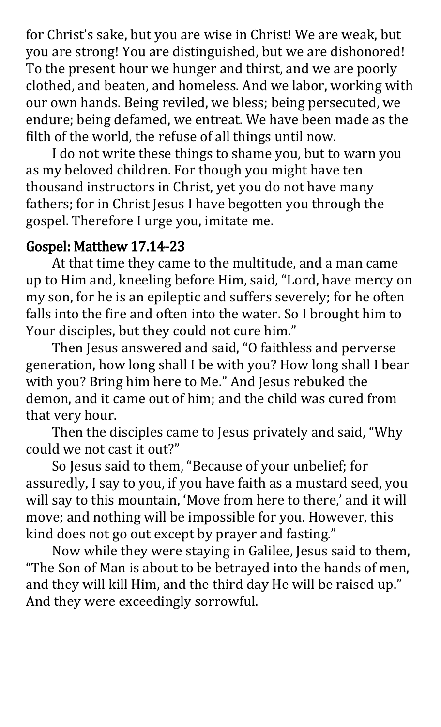for Christ's sake, but you are wise in Christ! We are weak, but you are strong! You are distinguished, but we are dishonored! To the present hour we hunger and thirst, and we are poorly clothed, and beaten, and homeless. And we labor, working with our own hands. Being reviled, we bless; being persecuted, we endure; being defamed, we entreat. We have been made as the filth of the world, the refuse of all things until now.

I do not write these things to shame you, but to warn you as my beloved children. For though you might have ten thousand instructors in Christ, yet you do not have many fathers; for in Christ Jesus I have begotten you through the gospel. Therefore I urge you, imitate me.

#### Gospel: Matthew 17.14-23

At that time they came to the multitude, and a man came up to Him and, kneeling before Him, said, "Lord, have mercy on my son, for he is an epileptic and suffers severely; for he often falls into the fire and often into the water. So I brought him to Your disciples, but they could not cure him."

 Then Jesus answered and said, "O faithless and perverse generation, how long shall I be with you? How long shall I bear with you? Bring him here to Me." And Jesus rebuked the demon, and it came out of him; and the child was cured from that very hour.

 Then the disciples came to Jesus privately and said, "Why could we not cast it out?"

 So Jesus said to them, "Because of your unbelief; for assuredly, I say to you, if you have faith as a mustard seed, you will say to this mountain, 'Move from here to there,' and it will move; and nothing will be impossible for you. However, this kind does not go out except by prayer and fasting."

 Now while they were staying in Galilee, Jesus said to them, "The Son of Man is about to be betrayed into the hands of men, and they will kill Him, and the third day He will be raised up." And they were exceedingly sorrowful.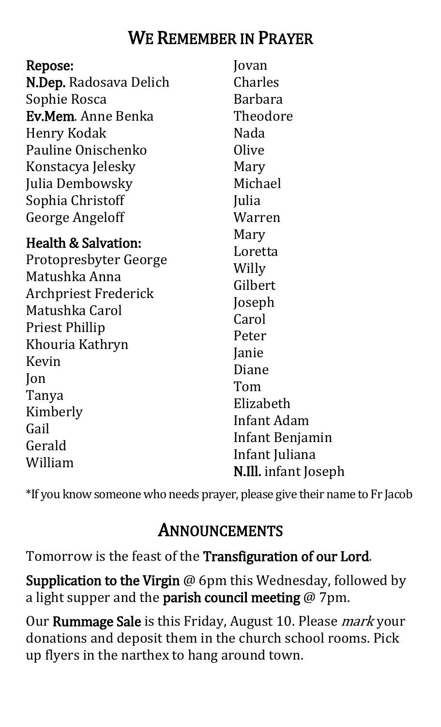## WE REMEMBER IN PRAYER

| Repose:                        | Jovan                       |
|--------------------------------|-----------------------------|
| N.Dep. Radosava Delich         | Charles                     |
| Sophie Rosca                   | <b>Barbara</b>              |
| <b>Ev.Mem.</b> Anne Benka      | Theodore                    |
| Henry Kodak                    | Nada                        |
| Pauline Onischenko             | Olive                       |
| Konstacya Jelesky              | Mary                        |
| Julia Dembowsky                | Michael                     |
| Sophia Christoff               | Julia                       |
| <b>George Angeloff</b>         | Warren                      |
| <b>Health &amp; Salvation:</b> | Mary                        |
| Protopresbyter George          | Loretta                     |
| Matushka Anna                  | Willy                       |
| <b>Archpriest Frederick</b>    | Gilbert                     |
| Matushka Carol                 | Joseph                      |
|                                | Carol                       |
| <b>Priest Phillip</b>          | Peter                       |
| Khouria Kathryn<br>Kevin       | Janie                       |
|                                | Diane                       |
| Jon                            | Tom                         |
| Tanya                          | Elizabeth                   |
| Kimberly                       | Infant Adam                 |
| Gail                           | Infant Benjamin             |
| Gerald                         | Infant Juliana              |
| William                        | <b>N.Ill.</b> infant Joseph |

\*If you know someone who needs prayer, please give their name to Fr Jacob

## ANNOUNCEMENTS

Tomorrow is the feast of the Transfiguration of our Lord.

Supplication to the Virgin @ 6pm this Wednesday, followed by a light supper and the parish council meeting  $@$  7pm.

Our Rummage Sale is this Friday, August 10. Please *mark* your donations and deposit them in the church school rooms. Pick up flyers in the narthex to hang around town.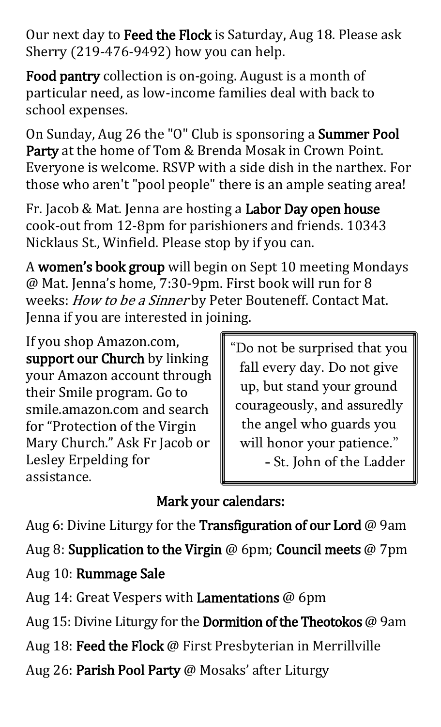Our next day to Feed the Flock is Saturday, Aug 18. Please ask Sherry (219-476-9492) how you can help.

Food pantry collection is on-going. August is a month of particular need, as low-income families deal with back to school expenses.

On Sunday, Aug 26 the "O" Club is sponsoring a Summer Pool Party at the home of Tom & Brenda Mosak in Crown Point. Everyone is welcome. RSVP with a side dish in the narthex. For those who aren't "pool people" there is an ample seating area!

Fr. Jacob & Mat. Jenna are hosting a Labor Day open house cook-out from 12-8pm for parishioners and friends. 10343 Nicklaus St., Winfield. Please stop by if you can.

A women's book group will begin on Sept 10 meeting Mondays @ Mat. Jenna's home, 7:30-9pm. First book will run for 8 weeks: How to be a Sinner by Peter Bouteneff. Contact Mat. Jenna if you are interested in joining.

If you shop Amazon.com, support our Church by linking your Amazon account through their Smile program. Go to smile.amazon.com and search for "Protection of the Virgin Mary Church." Ask Fr Jacob or Lesley Erpelding for assistance.

"Do not be surprised that you fall every day. Do not give up, but stand your ground courageously, and assuredly the angel who guards you will honor your patience." - St. John of the Ladder

## Mark your calendars:

Aug 6: Divine Liturgy for the Transfiguration of our Lord @ 9am

Aug 8: Supplication to the Virgin @ 6pm; Council meets @ 7pm

## Aug 10: Rummage Sale

Aug 14: Great Vespers with Lamentations @ 6pm

Aug 15: Divine Liturgy for the Dormition of the Theotokos @ 9am

Aug 18: Feed the Flock @ First Presbyterian in Merrillville

Aug 26: Parish Pool Party @ Mosaks' after Liturgy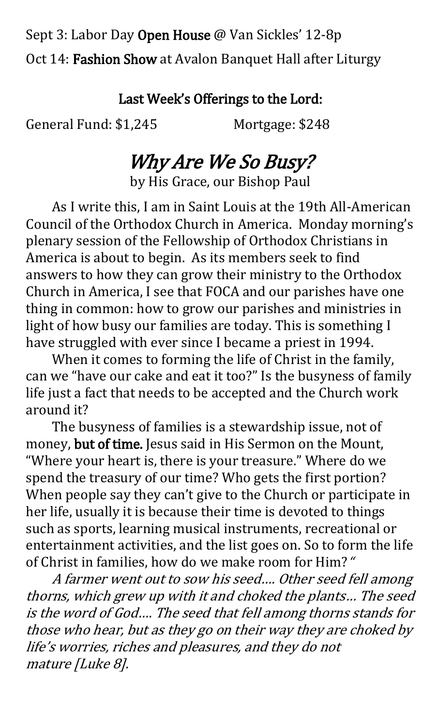Sept 3: Labor Day Open House @ Van Sickles' 12-8p Oct 14: Fashion Show at Avalon Banquet Hall after Liturgy

#### Last Week's Offerings to the Lord:

General Fund: \$1,245 Mortgage: \$248

## Why Are We So Busy?

by His Grace, our Bishop Paul

As I write this, I am in Saint Louis at the 19th All-American Council of the Orthodox Church in America. Monday morning's plenary session of the Fellowship of Orthodox Christians in America is about to begin. As its members seek to find answers to how they can grow their ministry to the Orthodox Church in America, I see that FOCA and our parishes have one thing in common: how to grow our parishes and ministries in light of how busy our families are today. This is something I have struggled with ever since I became a priest in 1994.

When it comes to forming the life of Christ in the family, can we "have our cake and eat it too?" Is the busyness of family life just a fact that needs to be accepted and the Church work around it?

The busyness of families is a stewardship issue, not of money, but of time. Jesus said in His Sermon on the Mount, "Where your heart is, there is your treasure." Where do we spend the treasury of our time? Who gets the first portion? When people say they can't give to the Church or participate in her life, usually it is because their time is devoted to things such as sports, learning musical instruments, recreational or entertainment activities, and the list goes on. So to form the life of Christ in families, how do we make room for Him? "

A farmer went out to sow his seed…. Other seed fell among thorns, which grew up with it and choked the plants… The seed is the word of God…. The seed that fell among thorns stands for those who hear, but as they go on their way they are choked by life's worries, riches and pleasures, and they do not mature [Luke 8].